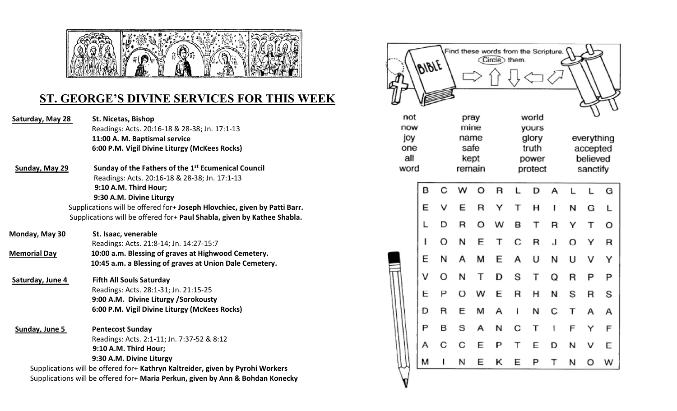

## **ST. GEORGE'S DIVINE SERVICES FOR THIS WEEK**

Saturday, May 28 St. Nicetas, Bishop Readings: Acts. 20:16-18 & 28-38; Jn. 17:1-13 **11:00 A. M. Baptismal service 6:00 P.M. Vigil Divine Liturgy (McKees Rocks)**

**Sunday, May 29 Sunday of the Fathers of the 1st Ecumenical Council** Readings: Acts. 20:16-18 & 28-38; Jn. 17:1-13  **9:10 A.M. Third Hour; 9:30 A.M. Divine Liturgy**

Supplications will be offered for+ **Joseph Hlovchiec, given by Patti Barr.**  Supplications will be offered for+ **Paul Shabla, given by Kathee Shabla.** 

| <u>Monday, May 30</u> | St. Isaac, venerable                                    |  |  |  |  |  |
|-----------------------|---------------------------------------------------------|--|--|--|--|--|
|                       | Readings: Acts. 21:8-14; Jn. 14:27-15:7                 |  |  |  |  |  |
| <b>Memorial Day</b>   | 10:00 a.m. Blessing of graves at Highwood Cemetery.     |  |  |  |  |  |
|                       | 10:45 a.m. a Blessing of graves at Union Dale Cemetery. |  |  |  |  |  |
|                       |                                                         |  |  |  |  |  |

- **Saturday, June 4 Fifth All Souls Saturday**  Readings: Acts. 28:1-31; Jn. 21:15-25 **9:00 A.M. Divine Liturgy /Sorokousty 6:00 P.M. Vigil Divine Liturgy (McKees Rocks)**
- **Sunday, June 5 Pentecost Sunday** Readings: Acts. 2:1-11; Jn. 7:37-52 & 8:12  **9:10 A.M. Third Hour; 9:30 A.M. Divine Liturgy**

Supplications will be offered for+ **Kathryn Kaltreider, given by Pyrohi Workers** Supplications will be offered for+ **Maria Perkun, given by Ann & Bohdan Konecky**

|            | BIBLE |      |              |      | Find these words from the Scripture.<br>Circle) them. |                |       |   |                      |          |             |  |
|------------|-------|------|--------------|------|-------------------------------------------------------|----------------|-------|---|----------------------|----------|-------------|--|
| not        |       |      |              | pray |                                                       |                | world |   |                      |          |             |  |
| now        |       | mine |              |      |                                                       | yours          |       |   |                      |          |             |  |
| joy        |       |      | name         |      |                                                       | glory          |       |   | everything           |          |             |  |
| one<br>all |       |      | safe<br>kept |      |                                                       | truth<br>power |       |   | accepted<br>believed |          |             |  |
| word       |       |      | remain       |      |                                                       | protect        |       |   |                      | sanctify |             |  |
|            |       |      |              |      |                                                       |                |       |   |                      |          |             |  |
|            | B     | C    | W            | O    | $\overline{\mathsf{R}}$                               | L              | D     | A | L                    | Г        | G           |  |
|            | E     | v    | E            | R    | Υ                                                     | T              | н     | ľ | N                    | G        | Г           |  |
|            | L     | D    | R            | O    | w                                                     | B              | Т     | R | Υ                    | т        | O           |  |
|            | ı     | O    | N            | E    | Т                                                     | С              | R     | J | O                    | Y        | $\mathsf R$ |  |
|            | E     | N    | А            | м    | E                                                     | A              | υ     | N | U                    | v        | Y           |  |
|            | V     | O    | N            | Т    | D                                                     | S              | Т     | Q | R                    | P        | P           |  |
|            | E     | P    | O            | W    | E                                                     | R              | н     | N | S                    | R        | S           |  |
|            | D     | R    | Ε            | М    | Α                                                     | I              | И     | С | Т                    | А        | Α           |  |
|            | P     | в    | S            | А    | N                                                     | С              | Т     | I | F                    | Y        | F           |  |
|            | А     | С    | C            | E    | P                                                     | т              | E     | D | N                    | v        | Е           |  |
|            | м     | ï    | N            | E    | κ                                                     | E              | P     | Т | Ν                    | O        | w           |  |
|            |       |      |              |      |                                                       |                |       |   |                      |          |             |  |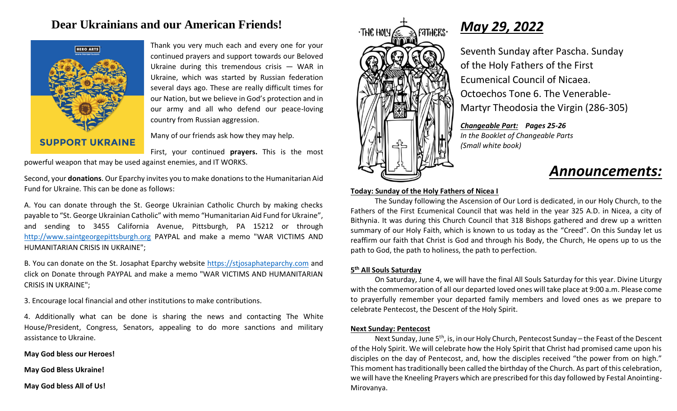## **Dear Ukrainians and our American Friends!**



Thank you very much each and every one for your continued prayers and support towards our Beloved Ukraine during this tremendous crisis — WAR in Ukraine, which was started by Russian federation several days ago. These are really difficult times for our Nation, but we believe in God's protection and in our army and all who defend our peace-loving country from Russian aggression.

Many of our friends ask how they may help.

First, your continued **prayers.** This is the most powerful weapon that may be used against enemies, and IT WORKS.

Second, your **donations**. Our Eparchy invites you to make donations to the Humanitarian Aid Fund for Ukraine. This can be done as follows:

A. You can donate through the St. George Ukrainian Catholic Church by making checks payable to "St. George Ukrainian Catholic" with memo "Humanitarian Aid Fund for Ukraine", and sending to 3455 California Avenue, Pittsburgh, PA 15212 or through [http://www.saintgeorgepittsburgh.org](about:blank) PAYPAL and make a memo "WAR VICTIMS AND HUMANITARIAN CRISIS IN UKRAINE";

B. You can donate on the St. Josaphat Eparchy website [https://stjosaphateparchy.com](about:blank) and click on Donate through PAYPAL and make a memo "WAR VICTIMS AND HUMANITARIAN CRISIS IN UKRAINE";

3. Encourage local financial and other institutions to make contributions.

4. Additionally what can be done is sharing the news and contacting The White House/President, Congress, Senators, appealing to do more sanctions and military assistance to Ukraine.

**May God bless our Heroes!** 

**May God Bless Ukraine!** 

**May God bless All of Us!**



# *May 29, 2022*

Seventh Sunday after Pascha. Sunday of the Holy Fathers of the First Ecumenical Council of Nicaea. Octoechos Tone 6. The Venerable-Martyr Theodosia the Virgin (286-305)

*Changeable Part: Pages 25-26 In the Booklet of Changeable Parts (Small white book)*

## *Announcements:*

#### **Today: Sunday of the Holy Fathers of Nicea I**

The Sunday following the Ascension of Our Lord is dedicated, in our Holy Church, to the Fathers of the First Ecumenical Council that was held in the year 325 A.D. in Nicea, a city of Bithynia. It was during this Church Council that 318 Bishops gathered and drew up a written summary of our Holy Faith, which is known to us today as the "Creed". On this Sunday let us reaffirm our faith that Christ is God and through his Body, the Church, He opens up to us the path to God, the path to holiness, the path to perfection.

#### **5 th All Souls Saturday**

On Saturday, June 4, we will have the final All Souls Saturday for this year. Divine Liturgy with the commemoration of all our departed loved ones will take place at 9:00 a.m. Please come to prayerfully remember your departed family members and loved ones as we prepare to celebrate Pentecost, the Descent of the Holy Spirit.

#### **Next Sunday: Pentecost**

Next Sunday, June 5<sup>th</sup>, is, in our Holy Church, Pentecost Sunday – the Feast of the Descent of the Holy Spirit. We will celebrate how the Holy Spirit that Christ had promised came upon his disciples on the day of Pentecost, and, how the disciples received "the power from on high." This moment has traditionally been called the birthday of the Church. As part of this celebration, we will have the Kneeling Prayers which are prescribed for this day followed by Festal Anointing-Mirovanya.